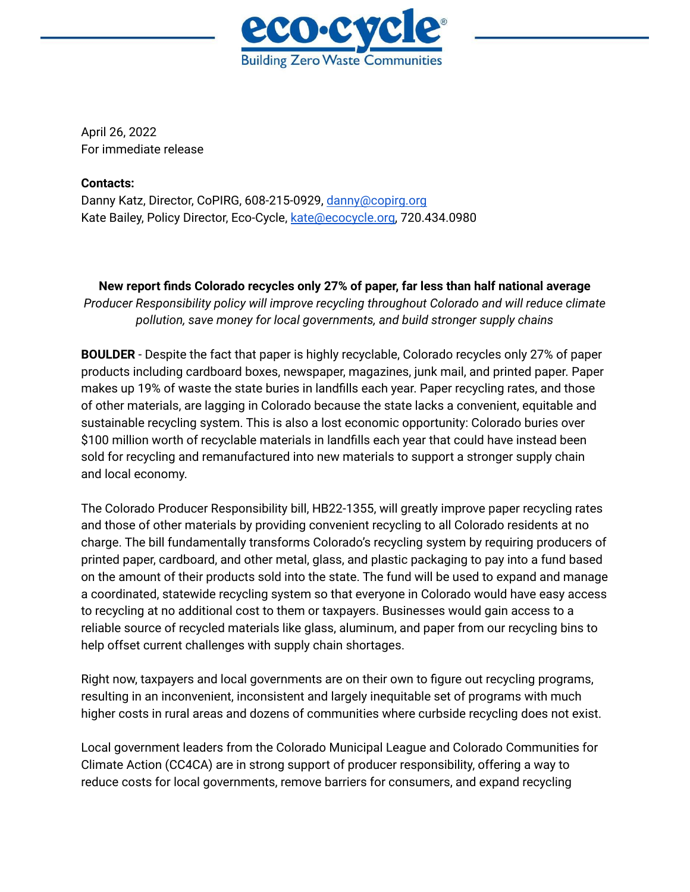

April 26, 2022 For immediate release

## **Contacts:**

Danny Katz, Director, CoPIRG, 608-215-0929, [danny@copirg.org](mailto:danny@copirg.org) Kate Bailey, Policy Director, Eco-Cycle, [kate@ecocycle.org,](mailto:kate@ecocycle.org) 720.434.0980

**New report finds Colorado recycles only 27% of paper, far less than half national average** *Producer Responsibility policy will improve recycling throughout Colorado and will reduce climate pollution, save money for local governments, and build stronger supply chains*

**BOULDER** - Despite the fact that paper is highly recyclable, Colorado recycles only 27% of paper products including cardboard boxes, newspaper, magazines, junk mail, and printed paper. Paper makes up 19% of waste the state buries in landfills each year. Paper recycling rates, and those of other materials, are lagging in Colorado because the state lacks a convenient, equitable and sustainable recycling system. This is also a lost economic opportunity: Colorado buries over \$100 million worth of recyclable materials in landfills each year that could have instead been sold for recycling and remanufactured into new materials to support a stronger supply chain and local economy.

The Colorado Producer Responsibility bill, HB22-1355, will greatly improve paper recycling rates and those of other materials by providing convenient recycling to all Colorado residents at no charge. The bill fundamentally transforms Colorado's recycling system by requiring producers of printed paper, cardboard, and other metal, glass, and plastic packaging to pay into a fund based on the amount of their products sold into the state. The fund will be used to expand and manage a coordinated, statewide recycling system so that everyone in Colorado would have easy access to recycling at no additional cost to them or taxpayers. Businesses would gain access to a reliable source of recycled materials like glass, aluminum, and paper from our recycling bins to help offset current challenges with supply chain shortages.

Right now, taxpayers and local governments are on their own to figure out recycling programs, resulting in an inconvenient, inconsistent and largely inequitable set of programs with much higher costs in rural areas and dozens of communities where curbside recycling does not exist.

Local government leaders from the Colorado Municipal League and Colorado Communities for Climate Action (CC4CA) are in strong support of producer responsibility, offering a way to reduce costs for local governments, remove barriers for consumers, and expand recycling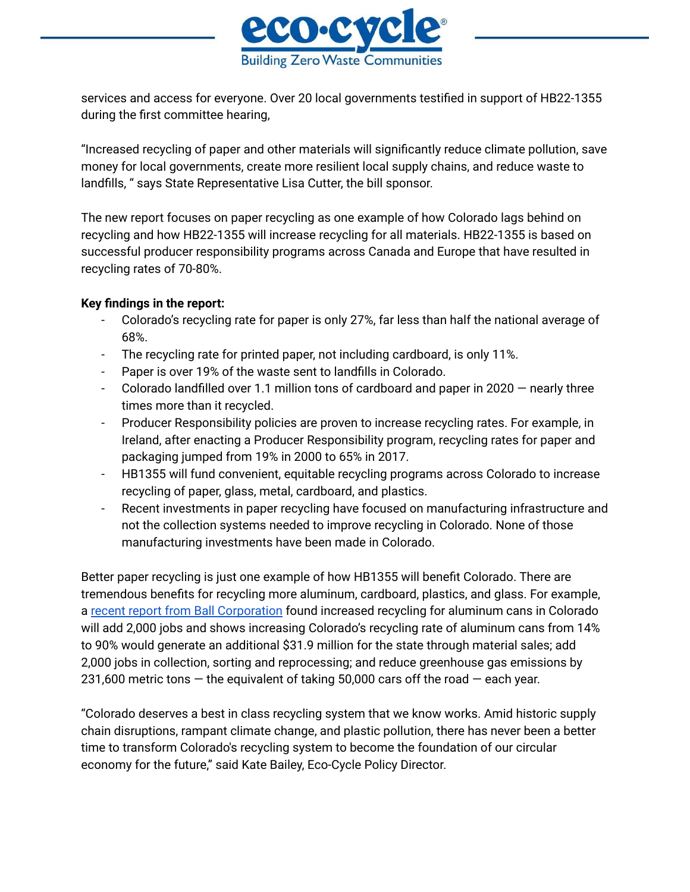

services and access for everyone. Over 20 local governments testified in support of HB22-1355 during the first committee hearing,

"Increased recycling of paper and other materials will significantly reduce climate pollution, save money for local governments, create more resilient local supply chains, and reduce waste to landfills, " says State Representative Lisa Cutter, the bill sponsor.

The new report focuses on paper recycling as one example of how Colorado lags behind on recycling and how HB22-1355 will increase recycling for all materials. HB22-1355 is based on successful producer responsibility programs across Canada and Europe that have resulted in recycling rates of 70-80%.

## **Key findings in the report:**

- Colorado's recycling rate for paper is only 27%, far less than half the national average of 68%.
- The recycling rate for printed paper, not including cardboard, is only 11%.
- Paper is over 19% of the waste sent to landfills in Colorado.
- Colorado landfilled over 1.1 million tons of cardboard and paper in 2020 nearly three times more than it recycled.
- Producer Responsibility policies are proven to increase recycling rates. For example, in Ireland, after enacting a Producer Responsibility program, recycling rates for paper and packaging jumped from 19% in 2000 to 65% in 2017.
- HB1355 will fund convenient, equitable recycling programs across Colorado to increase recycling of paper, glass, metal, cardboard, and plastics.
- Recent investments in paper recycling have focused on manufacturing infrastructure and not the collection systems needed to improve recycling in Colorado. None of those manufacturing investments have been made in Colorado.

Better paper recycling is just one example of how HB1355 will benefit Colorado. There are tremendous benefits for recycling more aluminum, cardboard, plastics, and glass. For example, a recent report from Ball [Corporation](https://thesocialpresskit.com/recycling-cans-is-good-business) found increased recycling for aluminum cans in Colorado will add 2,000 jobs and shows increasing Colorado's recycling rate of aluminum cans from 14% to 90% would generate an additional \$31.9 million for the state through material sales; add 2,000 jobs in collection, sorting and reprocessing; and reduce greenhouse gas emissions by 231,600 metric tons  $-$  the equivalent of taking 50,000 cars off the road  $-$  each year.

"Colorado deserves a best in class recycling system that we know works. Amid historic supply chain disruptions, rampant climate change, and plastic pollution, there has never been a better time to transform Colorado's recycling system to become the foundation of our circular economy for the future," said Kate Bailey, Eco-Cycle Policy Director.